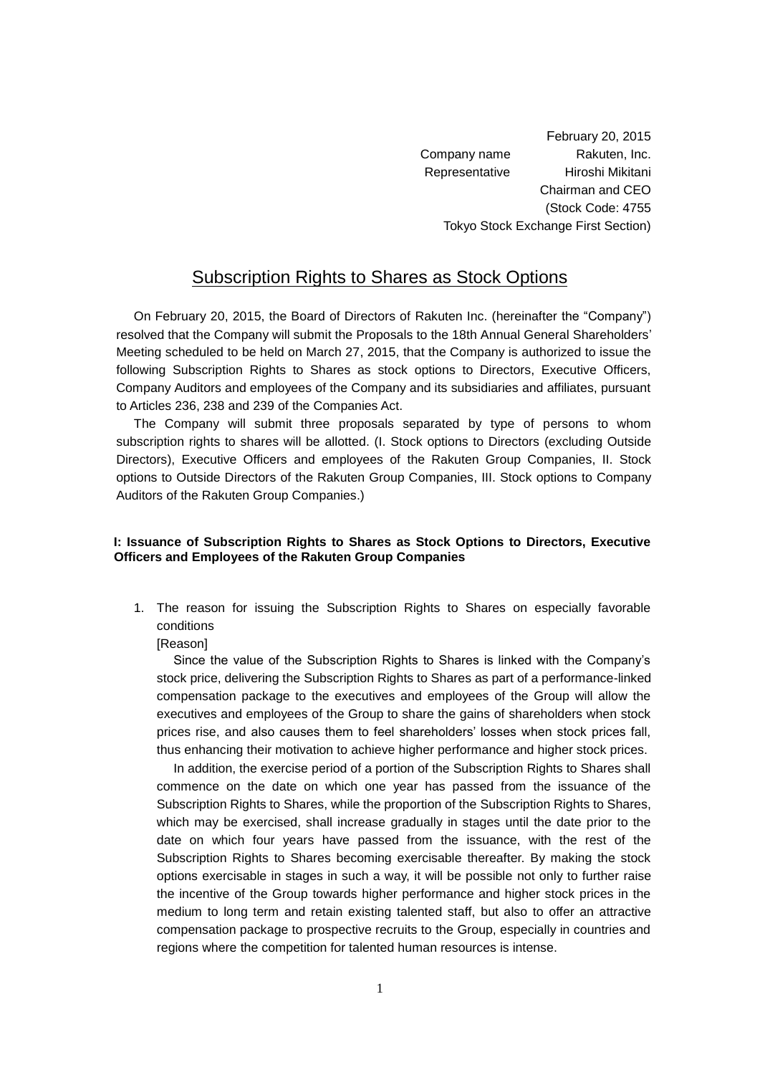February 20, 2015 Company name Rakuten, Inc. Representative Hiroshi Mikitani Chairman and CEO (Stock Code: 4755 Tokyo Stock Exchange First Section)

# Subscription Rights to Shares as Stock Options

On February 20, 2015, the Board of Directors of Rakuten Inc. (hereinafter the "Company") resolved that the Company will submit the Proposals to the 18th Annual General Shareholders' Meeting scheduled to be held on March 27, 2015, that the Company is authorized to issue the following Subscription Rights to Shares as stock options to Directors, Executive Officers, Company Auditors and employees of the Company and its subsidiaries and affiliates, pursuant to Articles 236, 238 and 239 of the Companies Act.

The Company will submit three proposals separated by type of persons to whom subscription rights to shares will be allotted. (I. Stock options to Directors (excluding Outside Directors), Executive Officers and employees of the Rakuten Group Companies, II. Stock options to Outside Directors of the Rakuten Group Companies, III. Stock options to Company Auditors of the Rakuten Group Companies.)

## **I: Issuance of Subscription Rights to Shares as Stock Options to Directors, Executive Officers and Employees of the Rakuten Group Companies**

1. The reason for issuing the Subscription Rights to Shares on especially favorable conditions

### [Reason]

Since the value of the Subscription Rights to Shares is linked with the Company's stock price, delivering the Subscription Rights to Shares as part of a performance-linked compensation package to the executives and employees of the Group will allow the executives and employees of the Group to share the gains of shareholders when stock prices rise, and also causes them to feel shareholders' losses when stock prices fall, thus enhancing their motivation to achieve higher performance and higher stock prices.

In addition, the exercise period of a portion of the Subscription Rights to Shares shall commence on the date on which one year has passed from the issuance of the Subscription Rights to Shares, while the proportion of the Subscription Rights to Shares, which may be exercised, shall increase gradually in stages until the date prior to the date on which four years have passed from the issuance, with the rest of the Subscription Rights to Shares becoming exercisable thereafter. By making the stock options exercisable in stages in such a way, it will be possible not only to further raise the incentive of the Group towards higher performance and higher stock prices in the medium to long term and retain existing talented staff, but also to offer an attractive compensation package to prospective recruits to the Group, especially in countries and regions where the competition for talented human resources is intense.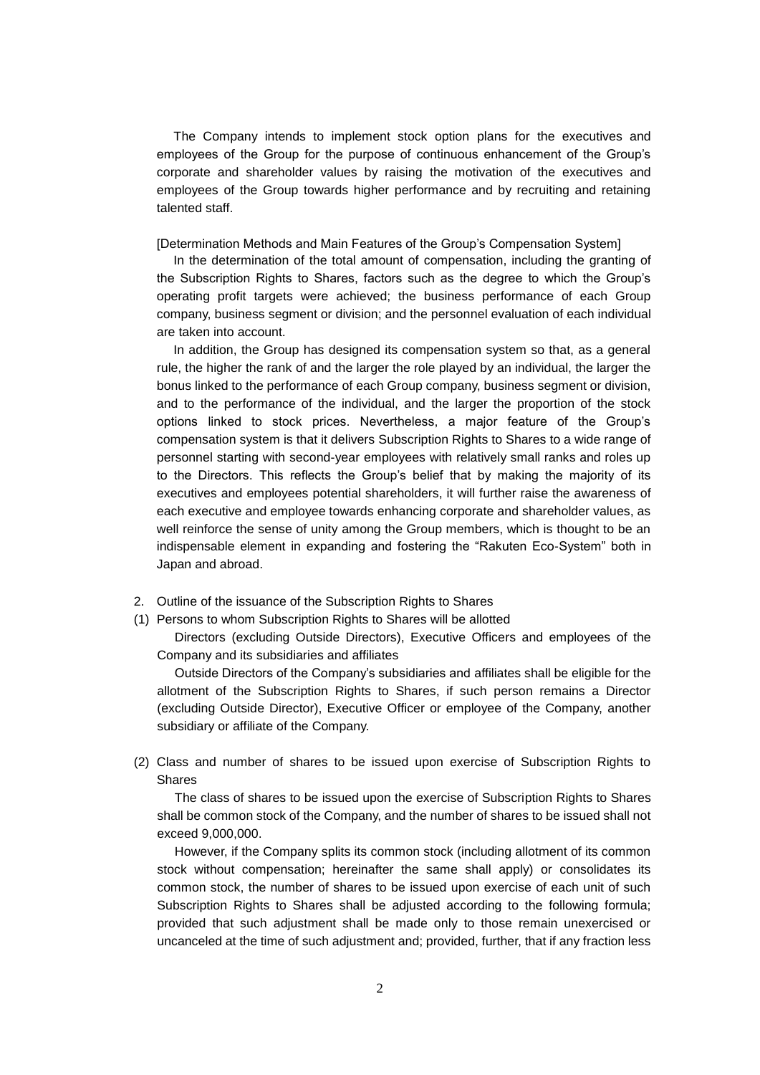The Company intends to implement stock option plans for the executives and employees of the Group for the purpose of continuous enhancement of the Group's corporate and shareholder values by raising the motivation of the executives and employees of the Group towards higher performance and by recruiting and retaining talented staff.

[Determination Methods and Main Features of the Group's Compensation System]

In the determination of the total amount of compensation, including the granting of the Subscription Rights to Shares, factors such as the degree to which the Group's operating profit targets were achieved; the business performance of each Group company, business segment or division; and the personnel evaluation of each individual are taken into account.

In addition, the Group has designed its compensation system so that, as a general rule, the higher the rank of and the larger the role played by an individual, the larger the bonus linked to the performance of each Group company, business segment or division, and to the performance of the individual, and the larger the proportion of the stock options linked to stock prices. Nevertheless, a major feature of the Group's compensation system is that it delivers Subscription Rights to Shares to a wide range of personnel starting with second-year employees with relatively small ranks and roles up to the Directors. This reflects the Group's belief that by making the majority of its executives and employees potential shareholders, it will further raise the awareness of each executive and employee towards enhancing corporate and shareholder values, as well reinforce the sense of unity among the Group members, which is thought to be an indispensable element in expanding and fostering the "Rakuten Eco-System" both in Japan and abroad.

- 2. Outline of the issuance of the Subscription Rights to Shares
- (1) Persons to whom Subscription Rights to Shares will be allotted

Directors (excluding Outside Directors), Executive Officers and employees of the Company and its subsidiaries and affiliates

Outside Directors of the Company's subsidiaries and affiliates shall be eligible for the allotment of the Subscription Rights to Shares, if such person remains a Director (excluding Outside Director), Executive Officer or employee of the Company, another subsidiary or affiliate of the Company.

(2) Class and number of shares to be issued upon exercise of Subscription Rights to Shares

The class of shares to be issued upon the exercise of Subscription Rights to Shares shall be common stock of the Company, and the number of shares to be issued shall not exceed 9,000,000.

However, if the Company splits its common stock (including allotment of its common stock without compensation; hereinafter the same shall apply) or consolidates its common stock, the number of shares to be issued upon exercise of each unit of such Subscription Rights to Shares shall be adjusted according to the following formula; provided that such adjustment shall be made only to those remain unexercised or uncanceled at the time of such adjustment and; provided, further, that if any fraction less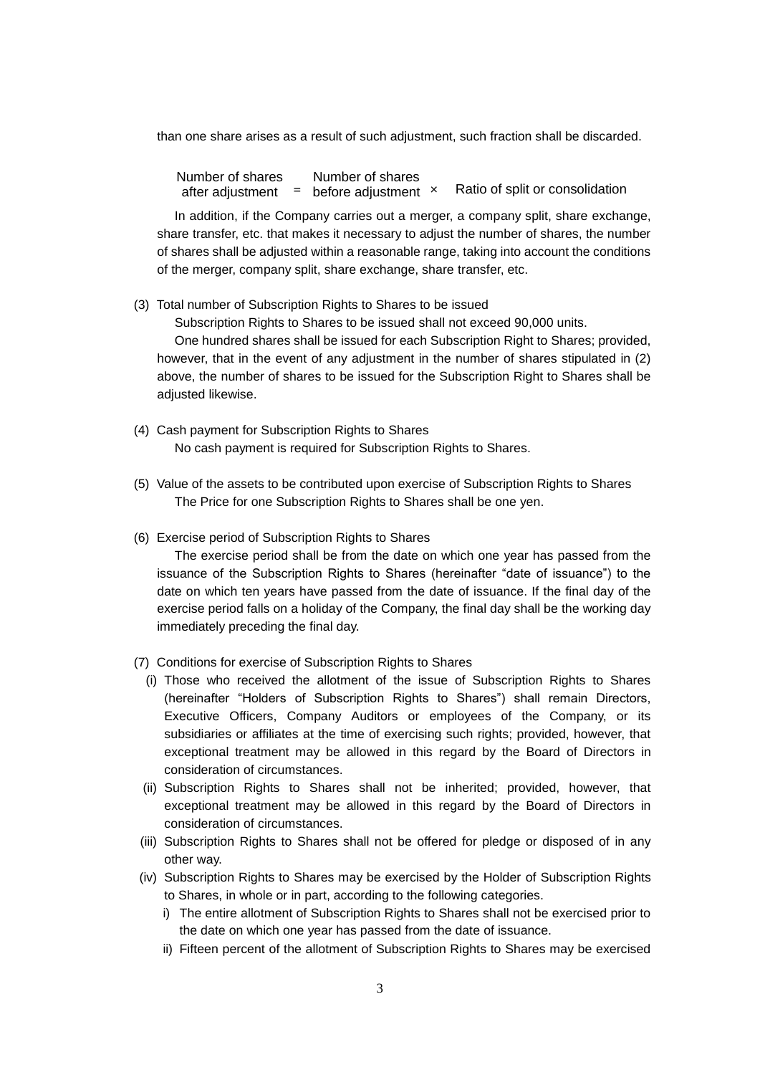than one share arises as a result of such adjustment, such fraction shall be discarded.

Ratio of split or consolidation Number of shares after adjustment **=** before adjustment Number of shares

In addition, if the Company carries out a merger, a company split, share exchange, share transfer, etc. that makes it necessary to adjust the number of shares, the number of shares shall be adjusted within a reasonable range, taking into account the conditions of the merger, company split, share exchange, share transfer, etc.

(3) Total number of Subscription Rights to Shares to be issued

Subscription Rights to Shares to be issued shall not exceed 90,000 units.

One hundred shares shall be issued for each Subscription Right to Shares; provided, however, that in the event of any adjustment in the number of shares stipulated in (2) above, the number of shares to be issued for the Subscription Right to Shares shall be adjusted likewise.

- (4) Cash payment for Subscription Rights to Shares No cash payment is required for Subscription Rights to Shares.
- (5) Value of the assets to be contributed upon exercise of Subscription Rights to Shares The Price for one Subscription Rights to Shares shall be one yen.
- (6) Exercise period of Subscription Rights to Shares

The exercise period shall be from the date on which one year has passed from the issuance of the Subscription Rights to Shares (hereinafter "date of issuance") to the date on which ten years have passed from the date of issuance. If the final day of the exercise period falls on a holiday of the Company, the final day shall be the working day immediately preceding the final day.

- (7) Conditions for exercise of Subscription Rights to Shares
	- (i) Those who received the allotment of the issue of Subscription Rights to Shares (hereinafter "Holders of Subscription Rights to Shares") shall remain Directors, Executive Officers, Company Auditors or employees of the Company, or its subsidiaries or affiliates at the time of exercising such rights; provided, however, that exceptional treatment may be allowed in this regard by the Board of Directors in consideration of circumstances.
	- (ii) Subscription Rights to Shares shall not be inherited; provided, however, that exceptional treatment may be allowed in this regard by the Board of Directors in consideration of circumstances.
- (iii) Subscription Rights to Shares shall not be offered for pledge or disposed of in any other way.
- (iv) Subscription Rights to Shares may be exercised by the Holder of Subscription Rights to Shares, in whole or in part, according to the following categories.
	- i) The entire allotment of Subscription Rights to Shares shall not be exercised prior to the date on which one year has passed from the date of issuance.
	- ii) Fifteen percent of the allotment of Subscription Rights to Shares may be exercised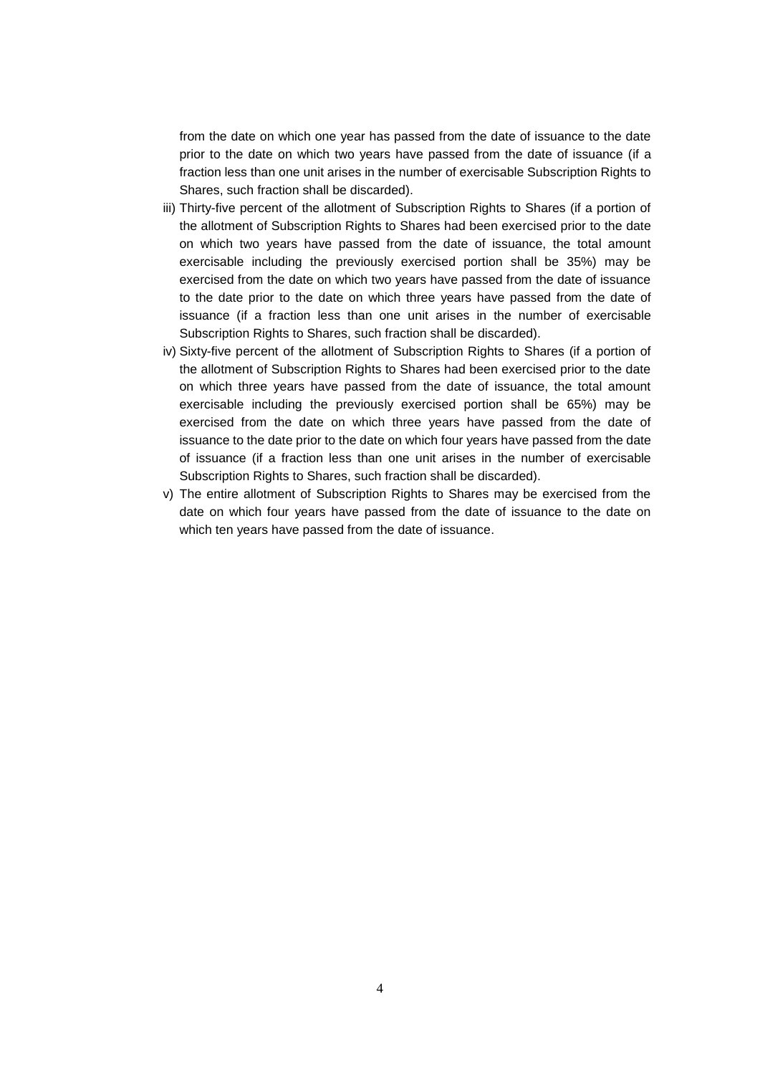from the date on which one year has passed from the date of issuance to the date prior to the date on which two years have passed from the date of issuance (if a fraction less than one unit arises in the number of exercisable Subscription Rights to Shares, such fraction shall be discarded).

- iii) Thirty-five percent of the allotment of Subscription Rights to Shares (if a portion of the allotment of Subscription Rights to Shares had been exercised prior to the date on which two years have passed from the date of issuance, the total amount exercisable including the previously exercised portion shall be 35%) may be exercised from the date on which two years have passed from the date of issuance to the date prior to the date on which three years have passed from the date of issuance (if a fraction less than one unit arises in the number of exercisable Subscription Rights to Shares, such fraction shall be discarded).
- iv) Sixty-five percent of the allotment of Subscription Rights to Shares (if a portion of the allotment of Subscription Rights to Shares had been exercised prior to the date on which three years have passed from the date of issuance, the total amount exercisable including the previously exercised portion shall be 65%) may be exercised from the date on which three years have passed from the date of issuance to the date prior to the date on which four years have passed from the date of issuance (if a fraction less than one unit arises in the number of exercisable Subscription Rights to Shares, such fraction shall be discarded).
- v) The entire allotment of Subscription Rights to Shares may be exercised from the date on which four years have passed from the date of issuance to the date on which ten years have passed from the date of issuance.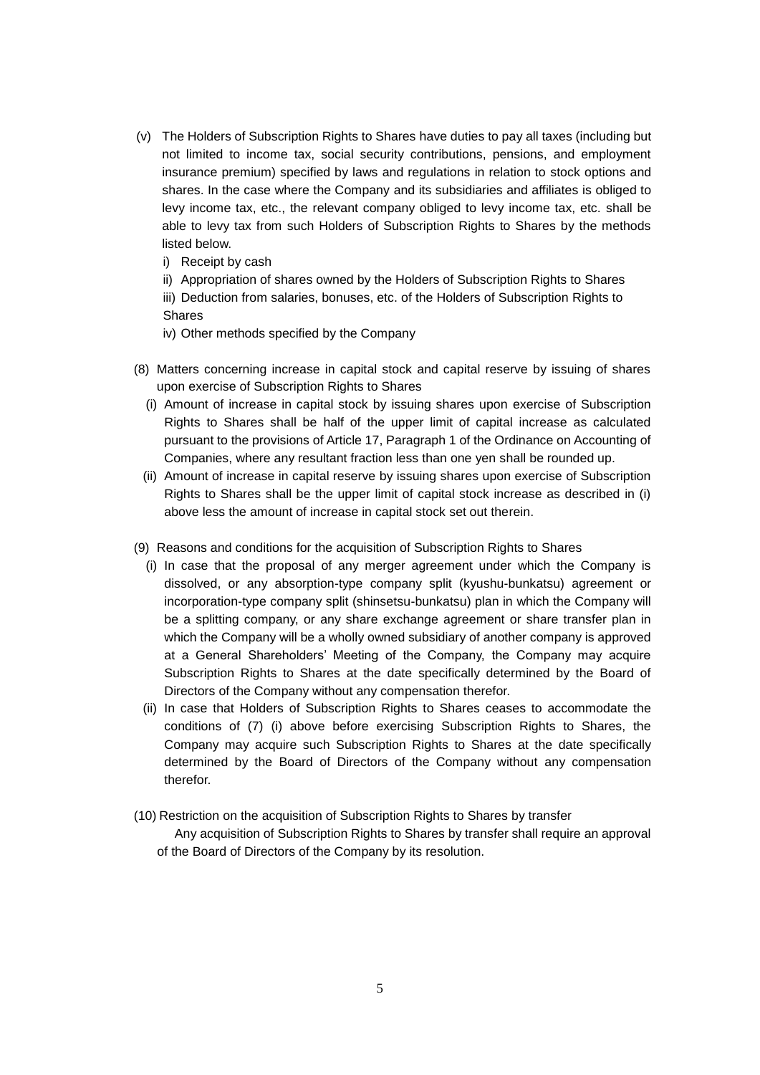- (v) The Holders of Subscription Rights to Shares have duties to pay all taxes (including but not limited to income tax, social security contributions, pensions, and employment insurance premium) specified by laws and regulations in relation to stock options and shares. In the case where the Company and its subsidiaries and affiliates is obliged to levy income tax, etc., the relevant company obliged to levy income tax, etc. shall be able to levy tax from such Holders of Subscription Rights to Shares by the methods listed below.
	- i) Receipt by cash
	- ii) Appropriation of shares owned by the Holders of Subscription Rights to Shares
	- iii) Deduction from salaries, bonuses, etc. of the Holders of Subscription Rights to Shares
	- iv) Other methods specified by the Company
- (8) Matters concerning increase in capital stock and capital reserve by issuing of shares upon exercise of Subscription Rights to Shares
	- (i) Amount of increase in capital stock by issuing shares upon exercise of Subscription Rights to Shares shall be half of the upper limit of capital increase as calculated pursuant to the provisions of Article 17, Paragraph 1 of the Ordinance on Accounting of Companies, where any resultant fraction less than one yen shall be rounded up.
	- (ii) Amount of increase in capital reserve by issuing shares upon exercise of Subscription Rights to Shares shall be the upper limit of capital stock increase as described in (i) above less the amount of increase in capital stock set out therein.
- (9) Reasons and conditions for the acquisition of Subscription Rights to Shares
	- (i) In case that the proposal of any merger agreement under which the Company is dissolved, or any absorption-type company split (kyushu-bunkatsu) agreement or incorporation-type company split (shinsetsu-bunkatsu) plan in which the Company will be a splitting company, or any share exchange agreement or share transfer plan in which the Company will be a wholly owned subsidiary of another company is approved at a General Shareholders' Meeting of the Company, the Company may acquire Subscription Rights to Shares at the date specifically determined by the Board of Directors of the Company without any compensation therefor.
	- (ii) In case that Holders of Subscription Rights to Shares ceases to accommodate the conditions of (7) (i) above before exercising Subscription Rights to Shares, the Company may acquire such Subscription Rights to Shares at the date specifically determined by the Board of Directors of the Company without any compensation therefor.
- (10) Restriction on the acquisition of Subscription Rights to Shares by transfer
	- Any acquisition of Subscription Rights to Shares by transfer shall require an approval of the Board of Directors of the Company by its resolution.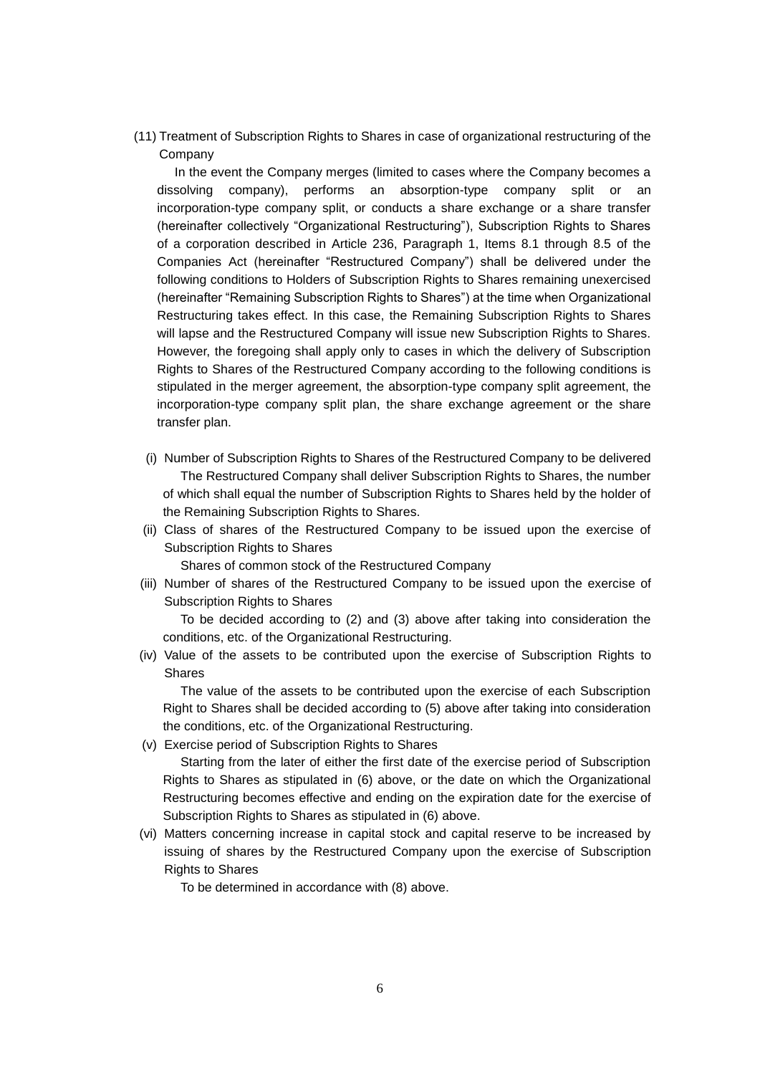(11) Treatment of Subscription Rights to Shares in case of organizational restructuring of the Company

In the event the Company merges (limited to cases where the Company becomes a dissolving company), performs an absorption-type company split or an incorporation-type company split, or conducts a share exchange or a share transfer (hereinafter collectively "Organizational Restructuring"), Subscription Rights to Shares of a corporation described in Article 236, Paragraph 1, Items 8.1 through 8.5 of the Companies Act (hereinafter "Restructured Company") shall be delivered under the following conditions to Holders of Subscription Rights to Shares remaining unexercised (hereinafter "Remaining Subscription Rights to Shares") at the time when Organizational Restructuring takes effect. In this case, the Remaining Subscription Rights to Shares will lapse and the Restructured Company will issue new Subscription Rights to Shares. However, the foregoing shall apply only to cases in which the delivery of Subscription Rights to Shares of the Restructured Company according to the following conditions is stipulated in the merger agreement, the absorption-type company split agreement, the incorporation-type company split plan, the share exchange agreement or the share transfer plan.

- (i) Number of Subscription Rights to Shares of the Restructured Company to be delivered The Restructured Company shall deliver Subscription Rights to Shares, the number of which shall equal the number of Subscription Rights to Shares held by the holder of the Remaining Subscription Rights to Shares.
- (ii) Class of shares of the Restructured Company to be issued upon the exercise of Subscription Rights to Shares

Shares of common stock of the Restructured Company

(iii) Number of shares of the Restructured Company to be issued upon the exercise of Subscription Rights to Shares

To be decided according to (2) and (3) above after taking into consideration the conditions, etc. of the Organizational Restructuring.

(iv) Value of the assets to be contributed upon the exercise of Subscription Rights to Shares

The value of the assets to be contributed upon the exercise of each Subscription Right to Shares shall be decided according to (5) above after taking into consideration the conditions, etc. of the Organizational Restructuring.

(v) Exercise period of Subscription Rights to Shares

Starting from the later of either the first date of the exercise period of Subscription Rights to Shares as stipulated in (6) above, or the date on which the Organizational Restructuring becomes effective and ending on the expiration date for the exercise of Subscription Rights to Shares as stipulated in (6) above.

(vi) Matters concerning increase in capital stock and capital reserve to be increased by issuing of shares by the Restructured Company upon the exercise of Subscription Rights to Shares

To be determined in accordance with (8) above.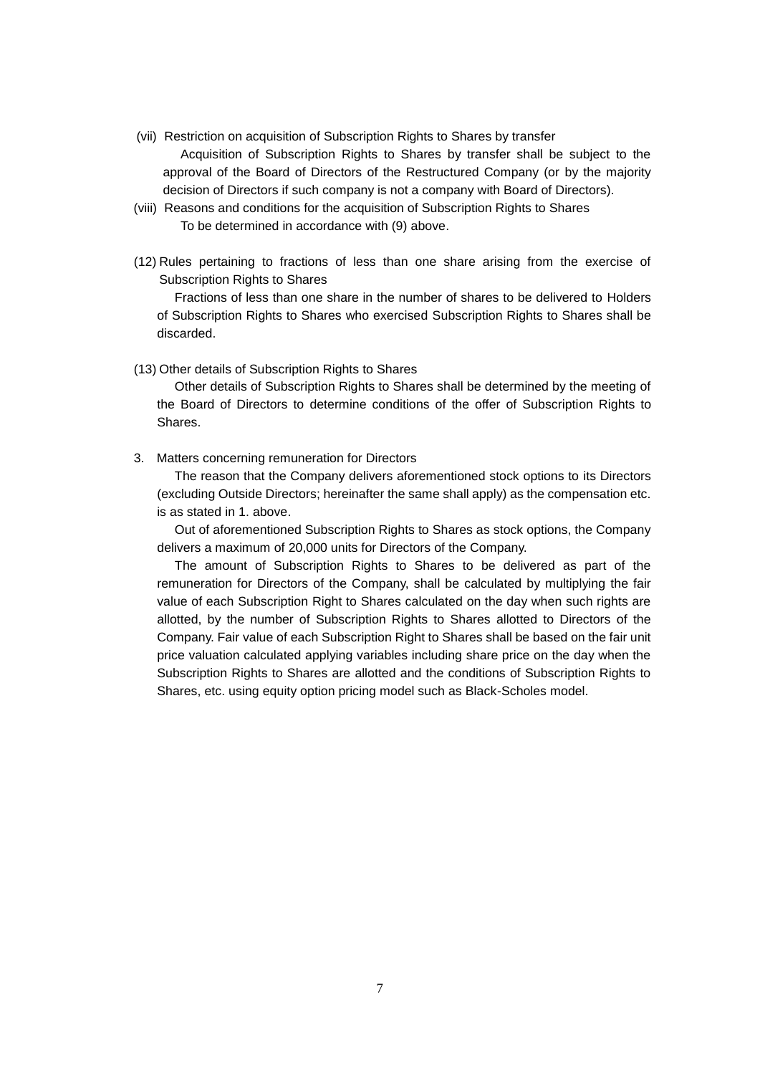- (vii) Restriction on acquisition of Subscription Rights to Shares by transfer Acquisition of Subscription Rights to Shares by transfer shall be subject to the approval of the Board of Directors of the Restructured Company (or by the majority decision of Directors if such company is not a company with Board of Directors).
- (viii) Reasons and conditions for the acquisition of Subscription Rights to Shares To be determined in accordance with (9) above.
- (12) Rules pertaining to fractions of less than one share arising from the exercise of Subscription Rights to Shares

Fractions of less than one share in the number of shares to be delivered to Holders of Subscription Rights to Shares who exercised Subscription Rights to Shares shall be discarded.

(13) Other details of Subscription Rights to Shares

Other details of Subscription Rights to Shares shall be determined by the meeting of the Board of Directors to determine conditions of the offer of Subscription Rights to Shares.

3. Matters concerning remuneration for Directors

The reason that the Company delivers aforementioned stock options to its Directors (excluding Outside Directors; hereinafter the same shall apply) as the compensation etc. is as stated in 1. above.

Out of aforementioned Subscription Rights to Shares as stock options, the Company delivers a maximum of 20,000 units for Directors of the Company.

The amount of Subscription Rights to Shares to be delivered as part of the remuneration for Directors of the Company, shall be calculated by multiplying the fair value of each Subscription Right to Shares calculated on the day when such rights are allotted, by the number of Subscription Rights to Shares allotted to Directors of the Company. Fair value of each Subscription Right to Shares shall be based on the fair unit price valuation calculated applying variables including share price on the day when the Subscription Rights to Shares are allotted and the conditions of Subscription Rights to Shares, etc. using equity option pricing model such as Black-Scholes model.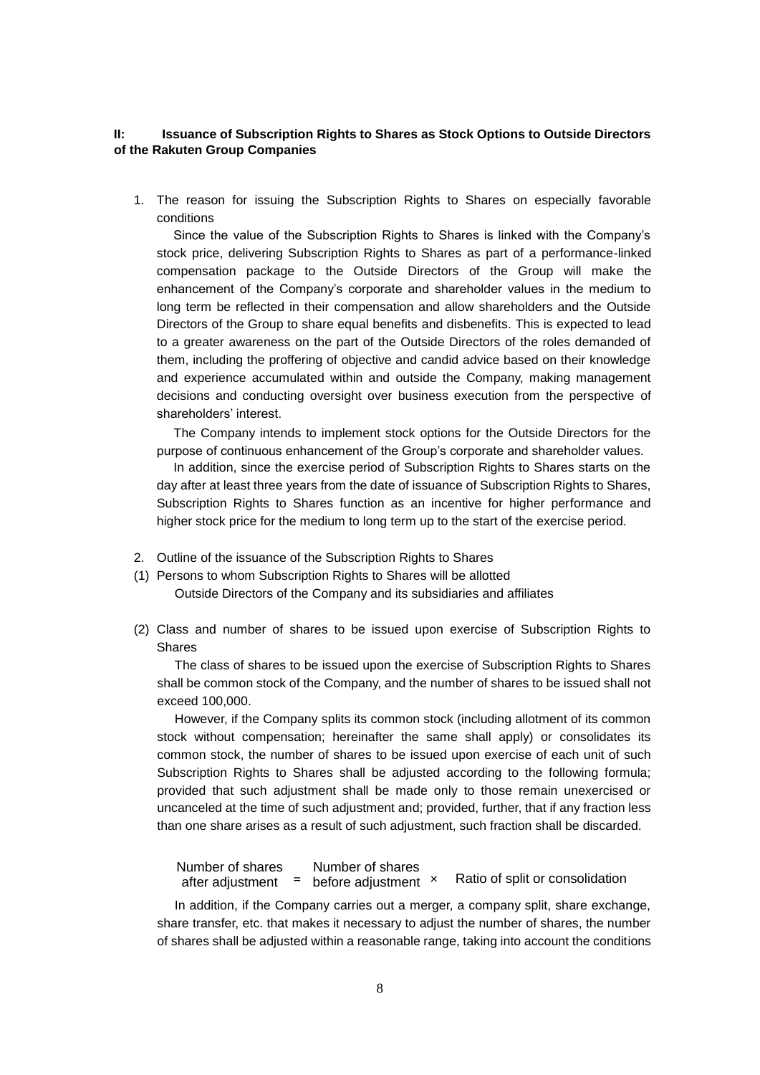### **II: Issuance of Subscription Rights to Shares as Stock Options to Outside Directors of the Rakuten Group Companies**

1. The reason for issuing the Subscription Rights to Shares on especially favorable conditions

Since the value of the Subscription Rights to Shares is linked with the Company's stock price, delivering Subscription Rights to Shares as part of a performance-linked compensation package to the Outside Directors of the Group will make the enhancement of the Company's corporate and shareholder values in the medium to long term be reflected in their compensation and allow shareholders and the Outside Directors of the Group to share equal benefits and disbenefits. This is expected to lead to a greater awareness on the part of the Outside Directors of the roles demanded of them, including the proffering of objective and candid advice based on their knowledge and experience accumulated within and outside the Company, making management decisions and conducting oversight over business execution from the perspective of shareholders' interest.

The Company intends to implement stock options for the Outside Directors for the purpose of continuous enhancement of the Group's corporate and shareholder values.

In addition, since the exercise period of Subscription Rights to Shares starts on the day after at least three years from the date of issuance of Subscription Rights to Shares, Subscription Rights to Shares function as an incentive for higher performance and higher stock price for the medium to long term up to the start of the exercise period.

- 2. Outline of the issuance of the Subscription Rights to Shares
- (1) Persons to whom Subscription Rights to Shares will be allotted Outside Directors of the Company and its subsidiaries and affiliates
- (2) Class and number of shares to be issued upon exercise of Subscription Rights to Shares

The class of shares to be issued upon the exercise of Subscription Rights to Shares shall be common stock of the Company, and the number of shares to be issued shall not exceed 100,000.

However, if the Company splits its common stock (including allotment of its common stock without compensation; hereinafter the same shall apply) or consolidates its common stock, the number of shares to be issued upon exercise of each unit of such Subscription Rights to Shares shall be adjusted according to the following formula; provided that such adjustment shall be made only to those remain unexercised or uncanceled at the time of such adjustment and; provided, further, that if any fraction less than one share arises as a result of such adjustment, such fraction shall be discarded.

Ratio of split or consolidation Number of shares after adjustment **=** before adjustment Number of shares

In addition, if the Company carries out a merger, a company split, share exchange, share transfer, etc. that makes it necessary to adjust the number of shares, the number of shares shall be adjusted within a reasonable range, taking into account the conditions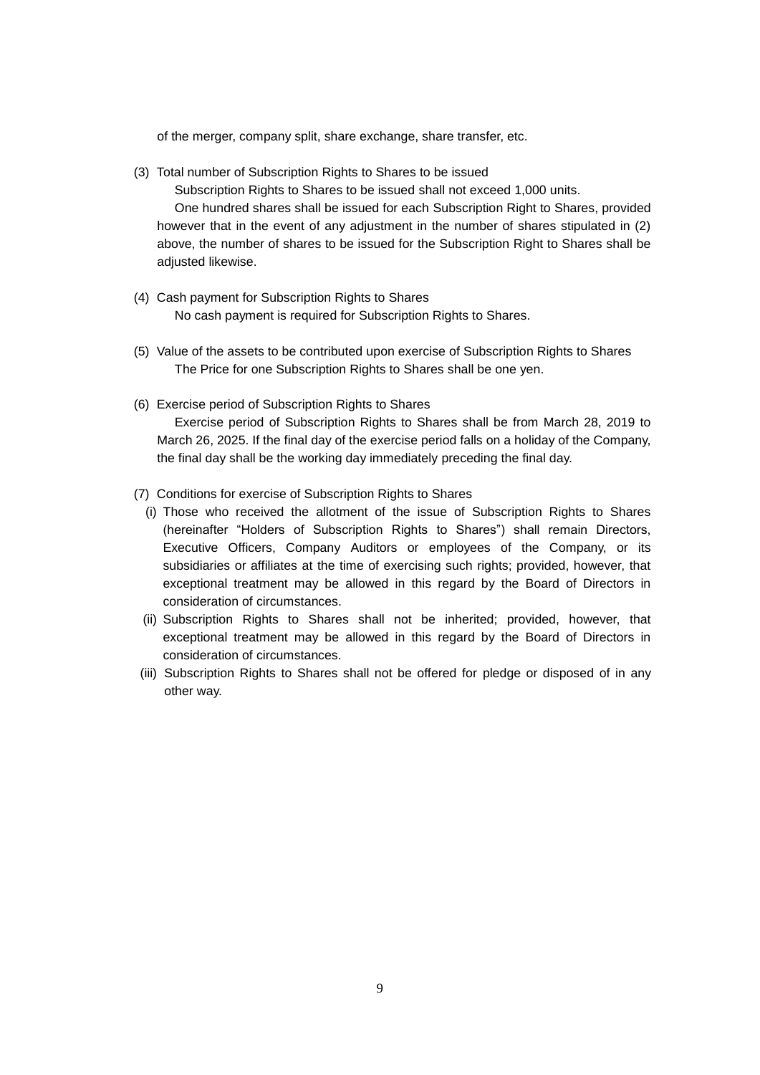of the merger, company split, share exchange, share transfer, etc.

(3) Total number of Subscription Rights to Shares to be issued

Subscription Rights to Shares to be issued shall not exceed 1,000 units.

One hundred shares shall be issued for each Subscription Right to Shares, provided however that in the event of any adjustment in the number of shares stipulated in (2) above, the number of shares to be issued for the Subscription Right to Shares shall be adjusted likewise.

- (4) Cash payment for Subscription Rights to Shares No cash payment is required for Subscription Rights to Shares.
- (5) Value of the assets to be contributed upon exercise of Subscription Rights to Shares The Price for one Subscription Rights to Shares shall be one yen.
- (6) Exercise period of Subscription Rights to Shares Exercise period of Subscription Rights to Shares shall be from March 28, 2019 to March 26, 2025. If the final day of the exercise period falls on a holiday of the Company, the final day shall be the working day immediately preceding the final day.
- (7) Conditions for exercise of Subscription Rights to Shares
	- (i) Those who received the allotment of the issue of Subscription Rights to Shares (hereinafter "Holders of Subscription Rights to Shares") shall remain Directors, Executive Officers, Company Auditors or employees of the Company, or its subsidiaries or affiliates at the time of exercising such rights; provided, however, that exceptional treatment may be allowed in this regard by the Board of Directors in consideration of circumstances.
	- (ii) Subscription Rights to Shares shall not be inherited; provided, however, that exceptional treatment may be allowed in this regard by the Board of Directors in consideration of circumstances.
- (iii) Subscription Rights to Shares shall not be offered for pledge or disposed of in any other way.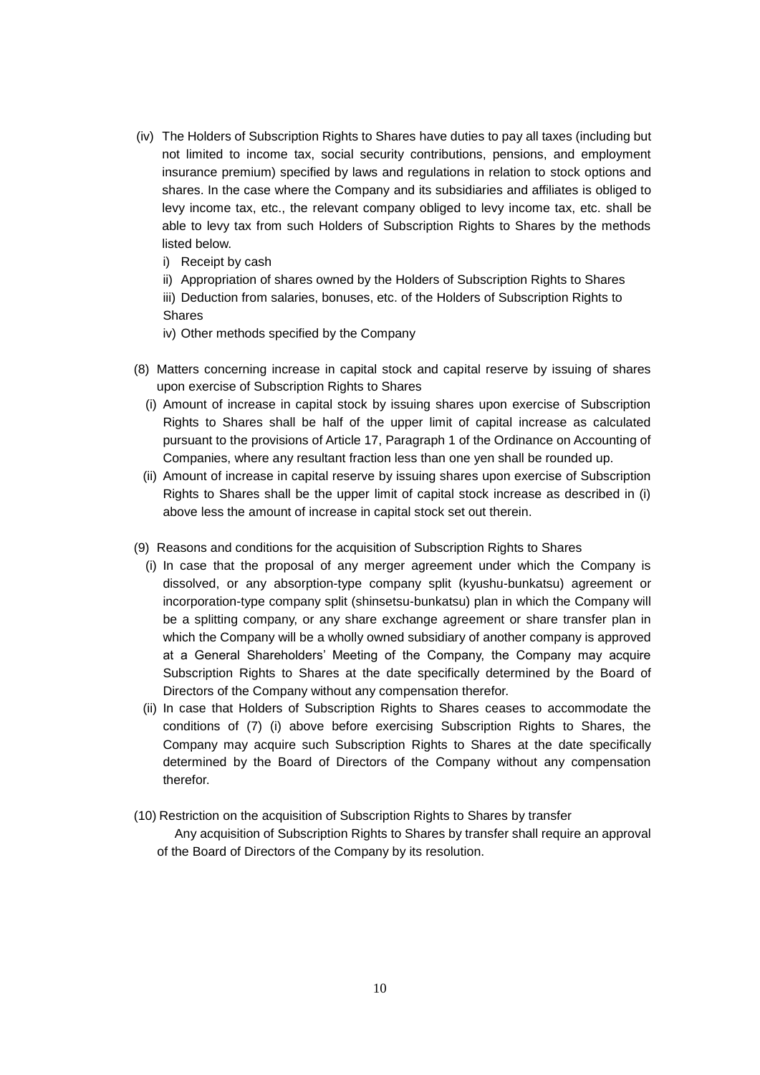- (iv) The Holders of Subscription Rights to Shares have duties to pay all taxes (including but not limited to income tax, social security contributions, pensions, and employment insurance premium) specified by laws and regulations in relation to stock options and shares. In the case where the Company and its subsidiaries and affiliates is obliged to levy income tax, etc., the relevant company obliged to levy income tax, etc. shall be able to levy tax from such Holders of Subscription Rights to Shares by the methods listed below.
	- i) Receipt by cash
	- ii) Appropriation of shares owned by the Holders of Subscription Rights to Shares
	- iii) Deduction from salaries, bonuses, etc. of the Holders of Subscription Rights to Shares
	- iv) Other methods specified by the Company
- (8) Matters concerning increase in capital stock and capital reserve by issuing of shares upon exercise of Subscription Rights to Shares
	- (i) Amount of increase in capital stock by issuing shares upon exercise of Subscription Rights to Shares shall be half of the upper limit of capital increase as calculated pursuant to the provisions of Article 17, Paragraph 1 of the Ordinance on Accounting of Companies, where any resultant fraction less than one yen shall be rounded up.
	- (ii) Amount of increase in capital reserve by issuing shares upon exercise of Subscription Rights to Shares shall be the upper limit of capital stock increase as described in (i) above less the amount of increase in capital stock set out therein.
- (9) Reasons and conditions for the acquisition of Subscription Rights to Shares
	- (i) In case that the proposal of any merger agreement under which the Company is dissolved, or any absorption-type company split (kyushu-bunkatsu) agreement or incorporation-type company split (shinsetsu-bunkatsu) plan in which the Company will be a splitting company, or any share exchange agreement or share transfer plan in which the Company will be a wholly owned subsidiary of another company is approved at a General Shareholders' Meeting of the Company, the Company may acquire Subscription Rights to Shares at the date specifically determined by the Board of Directors of the Company without any compensation therefor.
	- (ii) In case that Holders of Subscription Rights to Shares ceases to accommodate the conditions of (7) (i) above before exercising Subscription Rights to Shares, the Company may acquire such Subscription Rights to Shares at the date specifically determined by the Board of Directors of the Company without any compensation therefor.
- (10) Restriction on the acquisition of Subscription Rights to Shares by transfer
	- Any acquisition of Subscription Rights to Shares by transfer shall require an approval of the Board of Directors of the Company by its resolution.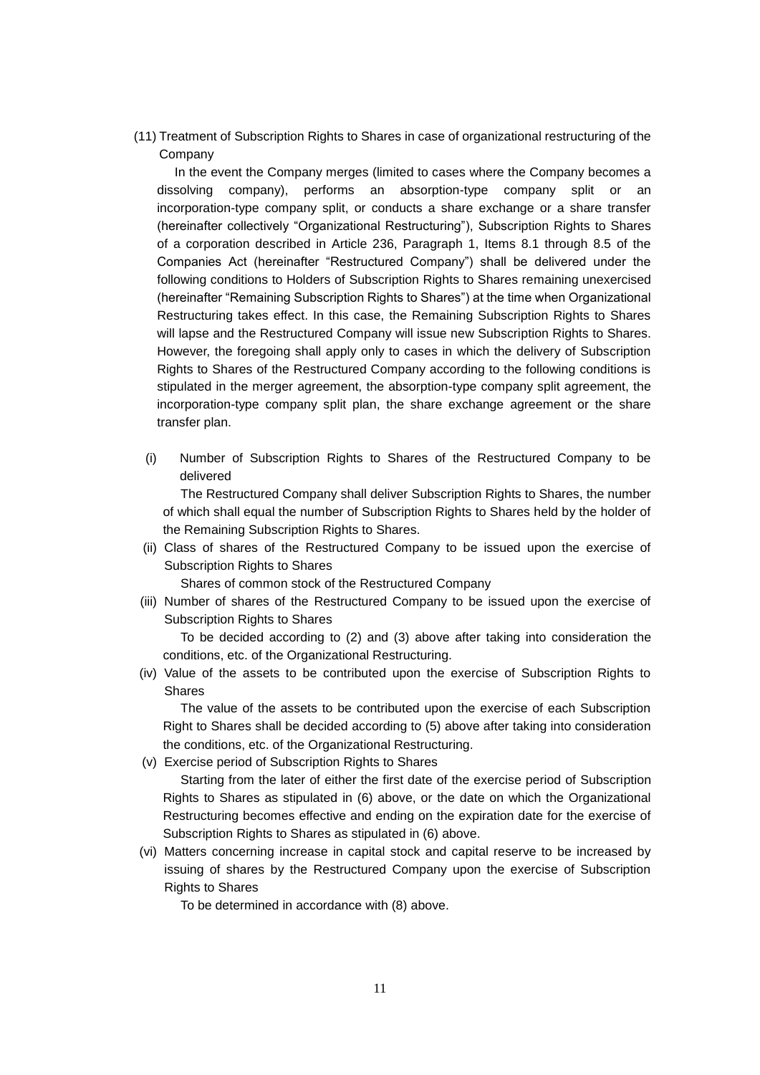(11) Treatment of Subscription Rights to Shares in case of organizational restructuring of the Company

In the event the Company merges (limited to cases where the Company becomes a dissolving company), performs an absorption-type company split or an incorporation-type company split, or conducts a share exchange or a share transfer (hereinafter collectively "Organizational Restructuring"), Subscription Rights to Shares of a corporation described in Article 236, Paragraph 1, Items 8.1 through 8.5 of the Companies Act (hereinafter "Restructured Company") shall be delivered under the following conditions to Holders of Subscription Rights to Shares remaining unexercised (hereinafter "Remaining Subscription Rights to Shares") at the time when Organizational Restructuring takes effect. In this case, the Remaining Subscription Rights to Shares will lapse and the Restructured Company will issue new Subscription Rights to Shares. However, the foregoing shall apply only to cases in which the delivery of Subscription Rights to Shares of the Restructured Company according to the following conditions is stipulated in the merger agreement, the absorption-type company split agreement, the incorporation-type company split plan, the share exchange agreement or the share transfer plan.

(i) Number of Subscription Rights to Shares of the Restructured Company to be delivered

The Restructured Company shall deliver Subscription Rights to Shares, the number of which shall equal the number of Subscription Rights to Shares held by the holder of the Remaining Subscription Rights to Shares.

(ii) Class of shares of the Restructured Company to be issued upon the exercise of Subscription Rights to Shares

Shares of common stock of the Restructured Company

(iii) Number of shares of the Restructured Company to be issued upon the exercise of Subscription Rights to Shares

To be decided according to (2) and (3) above after taking into consideration the conditions, etc. of the Organizational Restructuring.

(iv) Value of the assets to be contributed upon the exercise of Subscription Rights to **Shares** 

The value of the assets to be contributed upon the exercise of each Subscription Right to Shares shall be decided according to (5) above after taking into consideration the conditions, etc. of the Organizational Restructuring.

(v) Exercise period of Subscription Rights to Shares

Starting from the later of either the first date of the exercise period of Subscription Rights to Shares as stipulated in (6) above, or the date on which the Organizational Restructuring becomes effective and ending on the expiration date for the exercise of Subscription Rights to Shares as stipulated in (6) above.

(vi) Matters concerning increase in capital stock and capital reserve to be increased by issuing of shares by the Restructured Company upon the exercise of Subscription Rights to Shares

To be determined in accordance with (8) above.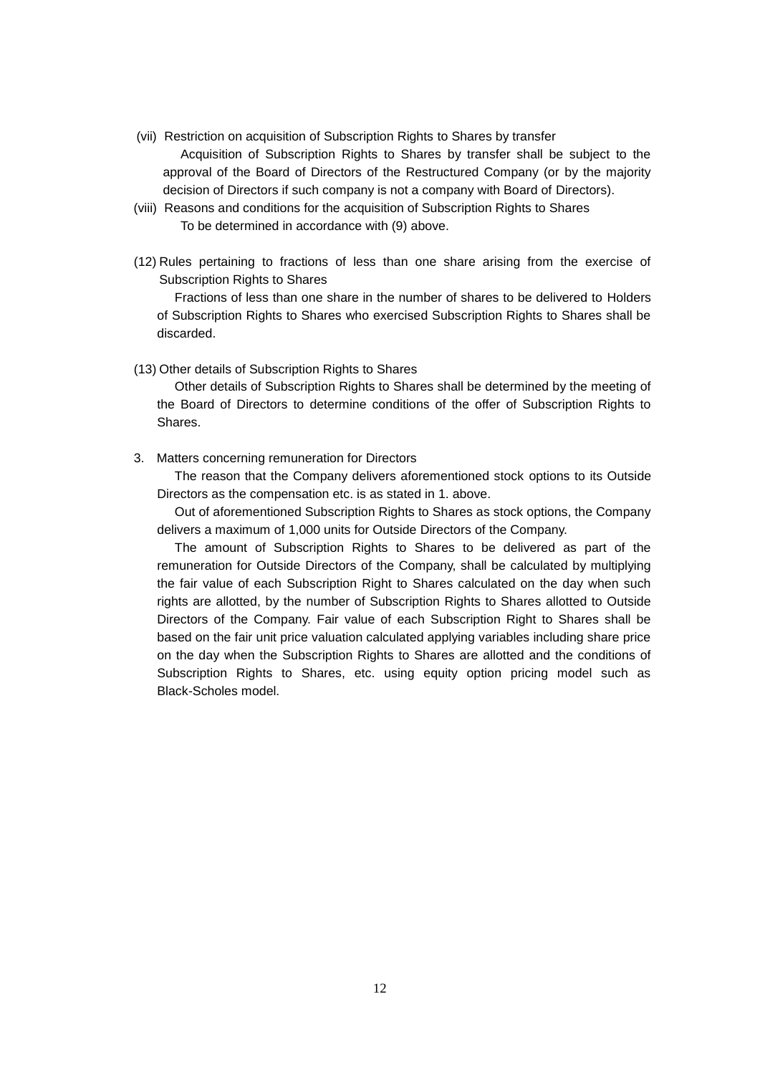- (vii) Restriction on acquisition of Subscription Rights to Shares by transfer Acquisition of Subscription Rights to Shares by transfer shall be subject to the approval of the Board of Directors of the Restructured Company (or by the majority decision of Directors if such company is not a company with Board of Directors).
- (viii) Reasons and conditions for the acquisition of Subscription Rights to Shares To be determined in accordance with (9) above.
- (12) Rules pertaining to fractions of less than one share arising from the exercise of Subscription Rights to Shares

Fractions of less than one share in the number of shares to be delivered to Holders of Subscription Rights to Shares who exercised Subscription Rights to Shares shall be discarded.

(13) Other details of Subscription Rights to Shares

Other details of Subscription Rights to Shares shall be determined by the meeting of the Board of Directors to determine conditions of the offer of Subscription Rights to Shares.

3. Matters concerning remuneration for Directors

The reason that the Company delivers aforementioned stock options to its Outside Directors as the compensation etc. is as stated in 1. above.

Out of aforementioned Subscription Rights to Shares as stock options, the Company delivers a maximum of 1,000 units for Outside Directors of the Company.

The amount of Subscription Rights to Shares to be delivered as part of the remuneration for Outside Directors of the Company, shall be calculated by multiplying the fair value of each Subscription Right to Shares calculated on the day when such rights are allotted, by the number of Subscription Rights to Shares allotted to Outside Directors of the Company. Fair value of each Subscription Right to Shares shall be based on the fair unit price valuation calculated applying variables including share price on the day when the Subscription Rights to Shares are allotted and the conditions of Subscription Rights to Shares, etc. using equity option pricing model such as Black-Scholes model.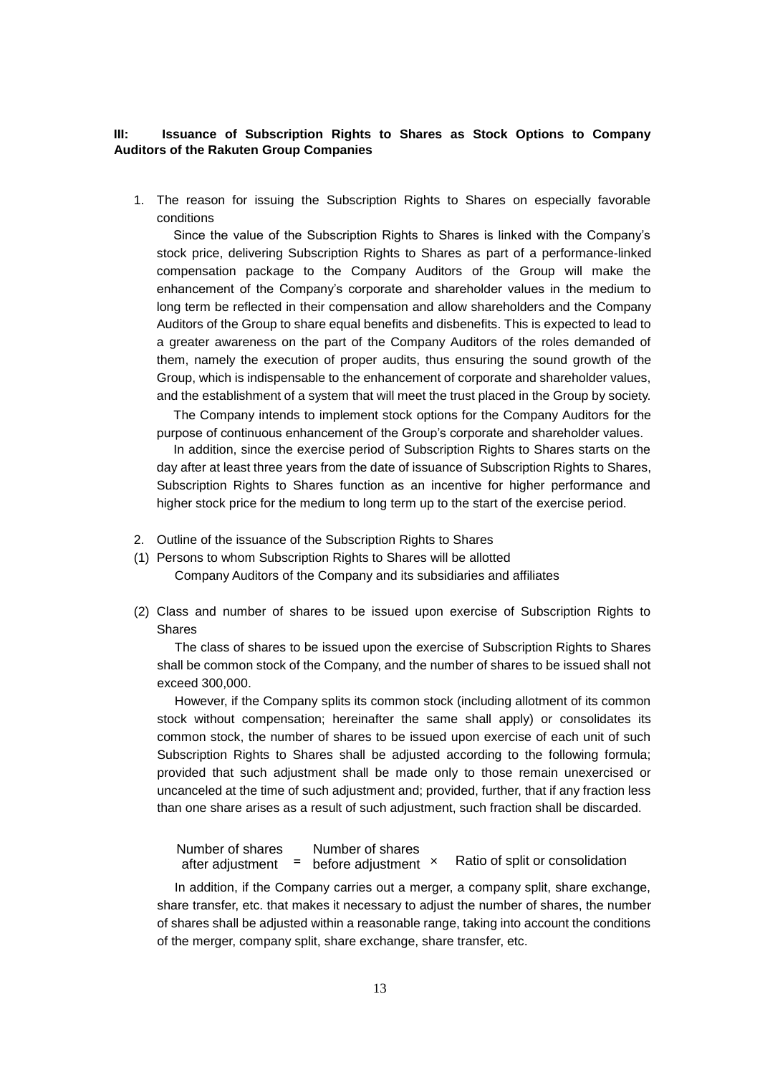#### **III: Issuance of Subscription Rights to Shares as Stock Options to Company Auditors of the Rakuten Group Companies**

1. The reason for issuing the Subscription Rights to Shares on especially favorable conditions

Since the value of the Subscription Rights to Shares is linked with the Company's stock price, delivering Subscription Rights to Shares as part of a performance-linked compensation package to the Company Auditors of the Group will make the enhancement of the Company's corporate and shareholder values in the medium to long term be reflected in their compensation and allow shareholders and the Company Auditors of the Group to share equal benefits and disbenefits. This is expected to lead to a greater awareness on the part of the Company Auditors of the roles demanded of them, namely the execution of proper audits, thus ensuring the sound growth of the Group, which is indispensable to the enhancement of corporate and shareholder values, and the establishment of a system that will meet the trust placed in the Group by society.

The Company intends to implement stock options for the Company Auditors for the purpose of continuous enhancement of the Group's corporate and shareholder values.

In addition, since the exercise period of Subscription Rights to Shares starts on the day after at least three years from the date of issuance of Subscription Rights to Shares, Subscription Rights to Shares function as an incentive for higher performance and higher stock price for the medium to long term up to the start of the exercise period.

- 2. Outline of the issuance of the Subscription Rights to Shares
- (1) Persons to whom Subscription Rights to Shares will be allotted Company Auditors of the Company and its subsidiaries and affiliates
- (2) Class and number of shares to be issued upon exercise of Subscription Rights to Shares

The class of shares to be issued upon the exercise of Subscription Rights to Shares shall be common stock of the Company, and the number of shares to be issued shall not exceed 300,000.

However, if the Company splits its common stock (including allotment of its common stock without compensation; hereinafter the same shall apply) or consolidates its common stock, the number of shares to be issued upon exercise of each unit of such Subscription Rights to Shares shall be adjusted according to the following formula; provided that such adjustment shall be made only to those remain unexercised or uncanceled at the time of such adjustment and; provided, further, that if any fraction less than one share arises as a result of such adjustment, such fraction shall be discarded.

Ratio of split or consolidation Number of shares after adjustment **=** before adjustment Number of shares

In addition, if the Company carries out a merger, a company split, share exchange, share transfer, etc. that makes it necessary to adjust the number of shares, the number of shares shall be adjusted within a reasonable range, taking into account the conditions of the merger, company split, share exchange, share transfer, etc.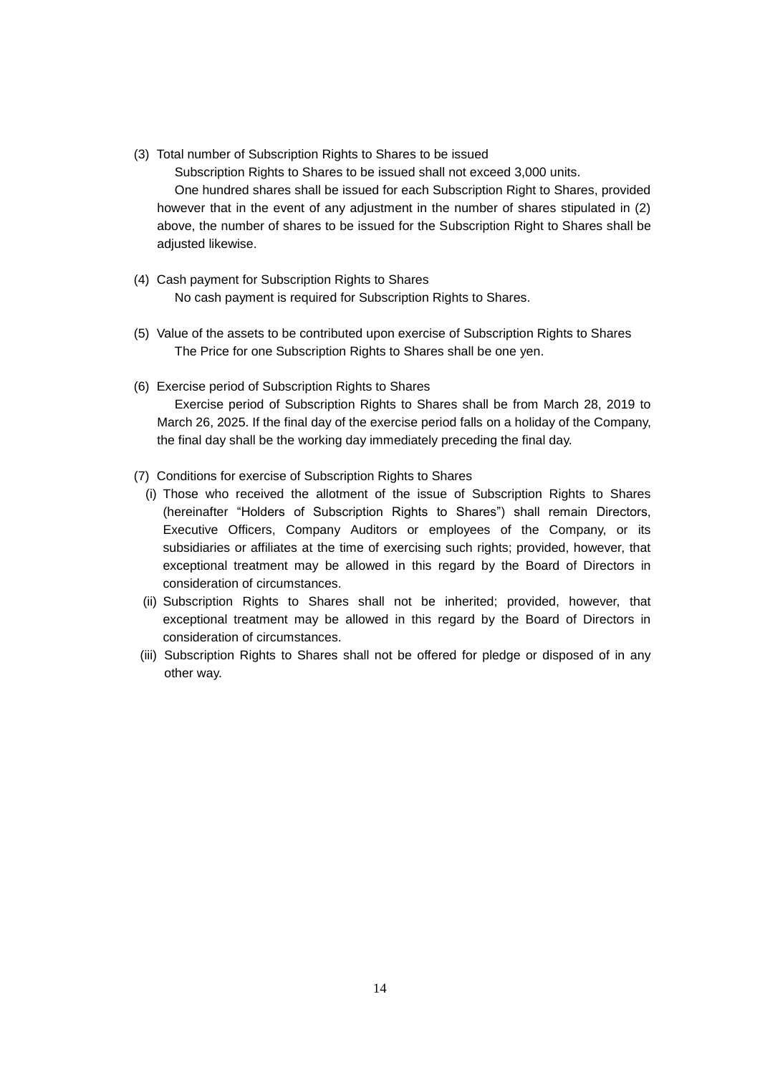(3) Total number of Subscription Rights to Shares to be issued

Subscription Rights to Shares to be issued shall not exceed 3,000 units. One hundred shares shall be issued for each Subscription Right to Shares, provided however that in the event of any adjustment in the number of shares stipulated in (2) above, the number of shares to be issued for the Subscription Right to Shares shall be adjusted likewise.

- (4) Cash payment for Subscription Rights to Shares No cash payment is required for Subscription Rights to Shares.
- (5) Value of the assets to be contributed upon exercise of Subscription Rights to Shares The Price for one Subscription Rights to Shares shall be one yen.
- (6) Exercise period of Subscription Rights to Shares

Exercise period of Subscription Rights to Shares shall be from March 28, 2019 to March 26, 2025. If the final day of the exercise period falls on a holiday of the Company, the final day shall be the working day immediately preceding the final day.

- (7) Conditions for exercise of Subscription Rights to Shares
	- (i) Those who received the allotment of the issue of Subscription Rights to Shares (hereinafter "Holders of Subscription Rights to Shares") shall remain Directors, Executive Officers, Company Auditors or employees of the Company, or its subsidiaries or affiliates at the time of exercising such rights; provided, however, that exceptional treatment may be allowed in this regard by the Board of Directors in consideration of circumstances.
	- (ii) Subscription Rights to Shares shall not be inherited; provided, however, that exceptional treatment may be allowed in this regard by the Board of Directors in consideration of circumstances.
- (iii) Subscription Rights to Shares shall not be offered for pledge or disposed of in any other way.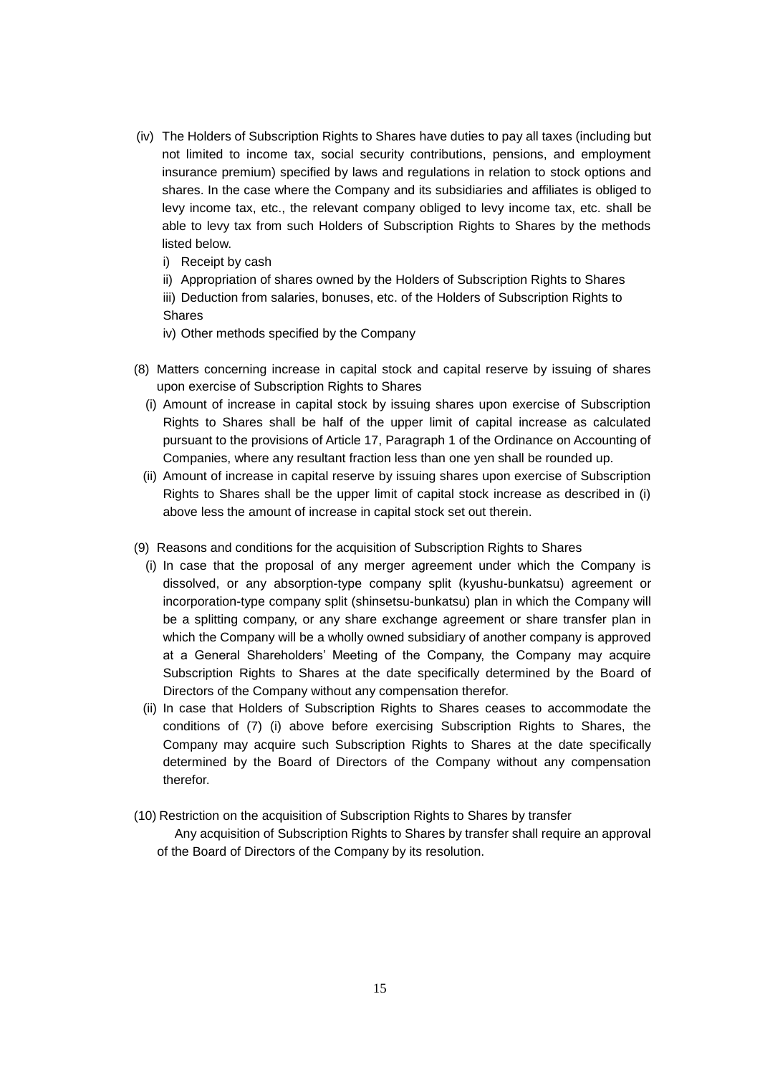- (iv) The Holders of Subscription Rights to Shares have duties to pay all taxes (including but not limited to income tax, social security contributions, pensions, and employment insurance premium) specified by laws and regulations in relation to stock options and shares. In the case where the Company and its subsidiaries and affiliates is obliged to levy income tax, etc., the relevant company obliged to levy income tax, etc. shall be able to levy tax from such Holders of Subscription Rights to Shares by the methods listed below.
	- i) Receipt by cash
	- ii) Appropriation of shares owned by the Holders of Subscription Rights to Shares
	- iii) Deduction from salaries, bonuses, etc. of the Holders of Subscription Rights to Shares
	- iv) Other methods specified by the Company
- (8) Matters concerning increase in capital stock and capital reserve by issuing of shares upon exercise of Subscription Rights to Shares
	- (i) Amount of increase in capital stock by issuing shares upon exercise of Subscription Rights to Shares shall be half of the upper limit of capital increase as calculated pursuant to the provisions of Article 17, Paragraph 1 of the Ordinance on Accounting of Companies, where any resultant fraction less than one yen shall be rounded up.
	- (ii) Amount of increase in capital reserve by issuing shares upon exercise of Subscription Rights to Shares shall be the upper limit of capital stock increase as described in (i) above less the amount of increase in capital stock set out therein.
- (9) Reasons and conditions for the acquisition of Subscription Rights to Shares
	- (i) In case that the proposal of any merger agreement under which the Company is dissolved, or any absorption-type company split (kyushu-bunkatsu) agreement or incorporation-type company split (shinsetsu-bunkatsu) plan in which the Company will be a splitting company, or any share exchange agreement or share transfer plan in which the Company will be a wholly owned subsidiary of another company is approved at a General Shareholders' Meeting of the Company, the Company may acquire Subscription Rights to Shares at the date specifically determined by the Board of Directors of the Company without any compensation therefor.
	- (ii) In case that Holders of Subscription Rights to Shares ceases to accommodate the conditions of (7) (i) above before exercising Subscription Rights to Shares, the Company may acquire such Subscription Rights to Shares at the date specifically determined by the Board of Directors of the Company without any compensation therefor.
- (10) Restriction on the acquisition of Subscription Rights to Shares by transfer
	- Any acquisition of Subscription Rights to Shares by transfer shall require an approval of the Board of Directors of the Company by its resolution.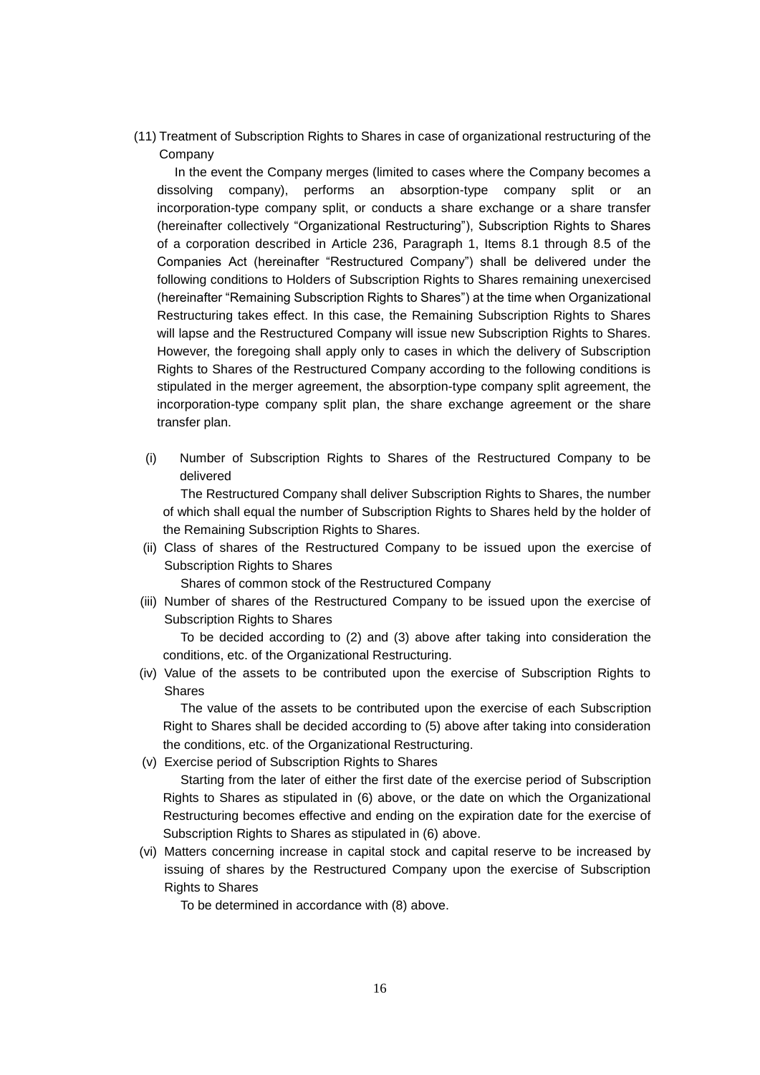(11) Treatment of Subscription Rights to Shares in case of organizational restructuring of the Company

In the event the Company merges (limited to cases where the Company becomes a dissolving company), performs an absorption-type company split or an incorporation-type company split, or conducts a share exchange or a share transfer (hereinafter collectively "Organizational Restructuring"), Subscription Rights to Shares of a corporation described in Article 236, Paragraph 1, Items 8.1 through 8.5 of the Companies Act (hereinafter "Restructured Company") shall be delivered under the following conditions to Holders of Subscription Rights to Shares remaining unexercised (hereinafter "Remaining Subscription Rights to Shares") at the time when Organizational Restructuring takes effect. In this case, the Remaining Subscription Rights to Shares will lapse and the Restructured Company will issue new Subscription Rights to Shares. However, the foregoing shall apply only to cases in which the delivery of Subscription Rights to Shares of the Restructured Company according to the following conditions is stipulated in the merger agreement, the absorption-type company split agreement, the incorporation-type company split plan, the share exchange agreement or the share transfer plan.

(i) Number of Subscription Rights to Shares of the Restructured Company to be delivered

The Restructured Company shall deliver Subscription Rights to Shares, the number of which shall equal the number of Subscription Rights to Shares held by the holder of the Remaining Subscription Rights to Shares.

(ii) Class of shares of the Restructured Company to be issued upon the exercise of Subscription Rights to Shares

Shares of common stock of the Restructured Company

(iii) Number of shares of the Restructured Company to be issued upon the exercise of Subscription Rights to Shares

To be decided according to (2) and (3) above after taking into consideration the conditions, etc. of the Organizational Restructuring.

(iv) Value of the assets to be contributed upon the exercise of Subscription Rights to **Shares** 

The value of the assets to be contributed upon the exercise of each Subscription Right to Shares shall be decided according to (5) above after taking into consideration the conditions, etc. of the Organizational Restructuring.

(v) Exercise period of Subscription Rights to Shares

Starting from the later of either the first date of the exercise period of Subscription Rights to Shares as stipulated in (6) above, or the date on which the Organizational Restructuring becomes effective and ending on the expiration date for the exercise of Subscription Rights to Shares as stipulated in (6) above.

(vi) Matters concerning increase in capital stock and capital reserve to be increased by issuing of shares by the Restructured Company upon the exercise of Subscription Rights to Shares

To be determined in accordance with (8) above.